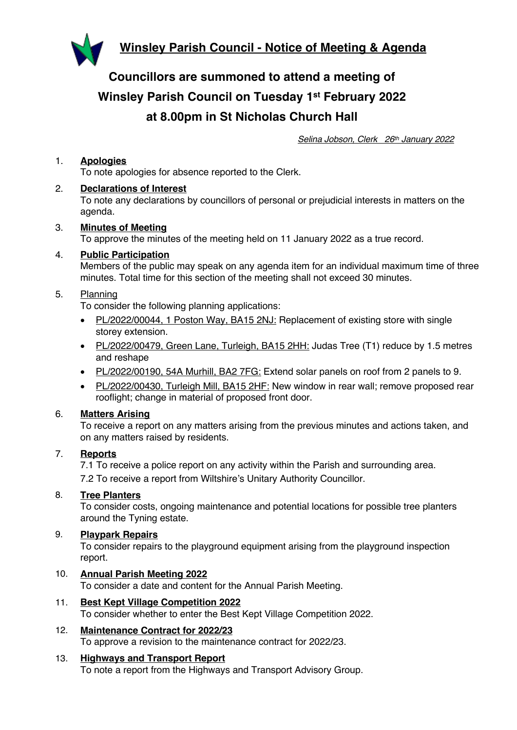

**Councillors are summoned to attend a meeting of Winsley Parish Council on Tuesday 1st February 2022 at 8.00pm in St Nicholas Church Hall**

*Selina Jobson, Clerk 26th January 2022*

# 1. **Apologies**

To note apologies for absence reported to the Clerk.

#### 2. **Declarations of Interest**

To note any declarations by councillors of personal or prejudicial interests in matters on the agenda.

3. **Minutes of Meeting** To approve the minutes of the meeting held on 11 January 2022 as a true record.

## 4. **Public Participation**

Members of the public may speak on any agenda item for an individual maximum time of three minutes. Total time for this section of the meeting shall not exceed 30 minutes.

## 5. Planning

To consider the following planning applications:

- PL/2022/00044, 1 Poston Way, BA15 2NJ: Replacement of existing store with single storey extension.
- PL/2022/00479, Green Lane, Turleigh, BA15 2HH: Judas Tree (T1) reduce by 1.5 metres and reshape
- PL/2022/00190, 54A Murhill, BA2 7FG: Extend solar panels on roof from 2 panels to 9.
- PL/2022/00430, Turleigh Mill, BA15 2HF: New window in rear wall; remove proposed rear rooflight; change in material of proposed front door.

#### 6. **Matters Arising**

To receive a report on any matters arising from the previous minutes and actions taken, and on any matters raised by residents.

#### 7. **Reports**

7.1 To receive a police report on any activity within the Parish and surrounding area.

7.2 To receive a report from Wiltshire's Unitary Authority Councillor.

#### 8. **Tree Planters**

To consider costs, ongoing maintenance and potential locations for possible tree planters around the Tyning estate.

#### 9. **Playpark Repairs**

To consider repairs to the playground equipment arising from the playground inspection report.

#### 10. **Annual Parish Meeting 2022**

To consider a date and content for the Annual Parish Meeting.

- 11. **Best Kept Village Competition 2022** To consider whether to enter the Best Kept Village Competition 2022.
- 12. **Maintenance Contract for 2022/23** To approve a revision to the maintenance contract for 2022/23.

# 13. **Highways and Transport Report**

To note a report from the Highways and Transport Advisory Group.